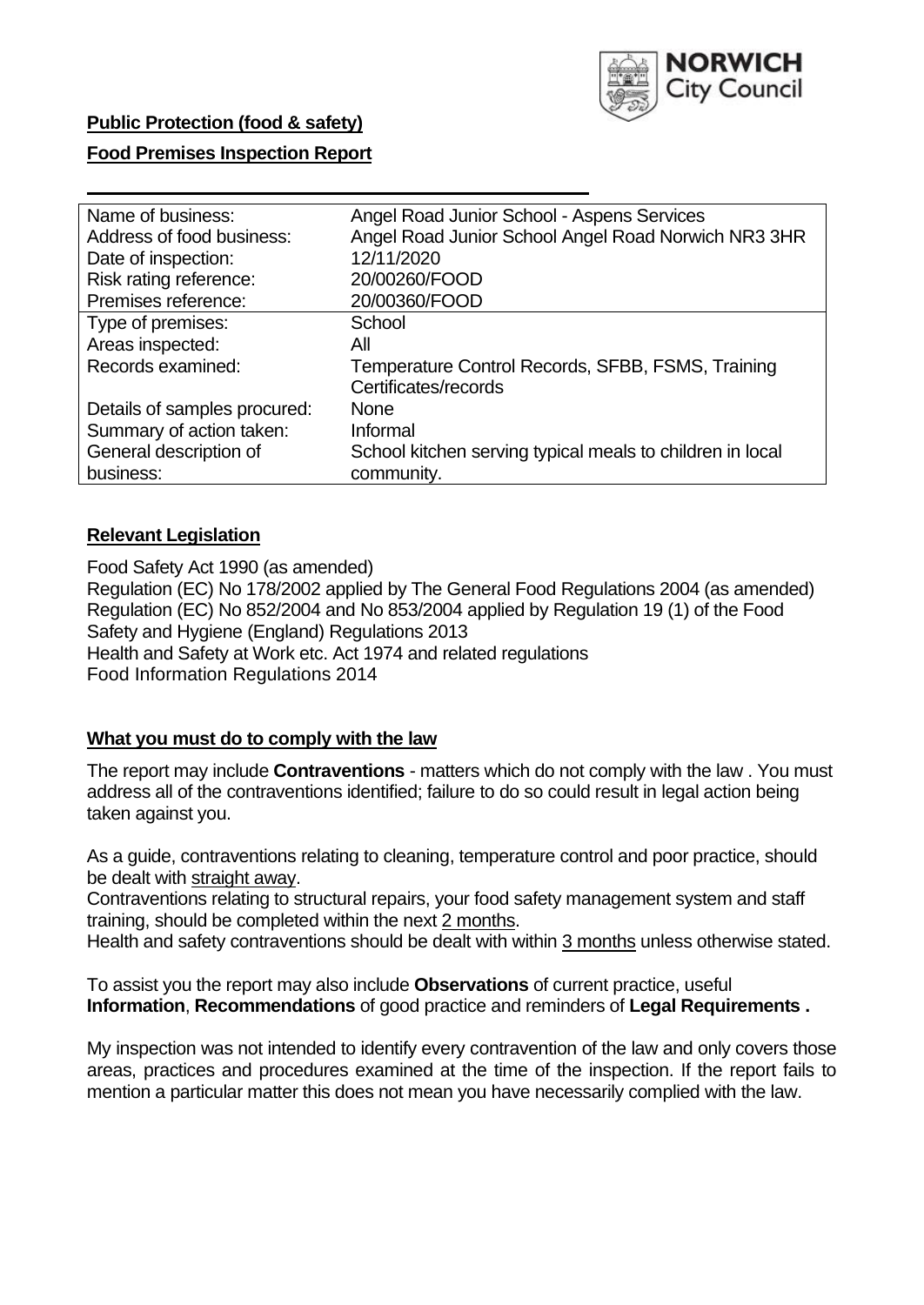

## **Public Protection (food & safety)**

### **Food Premises Inspection Report**

| Angel Road Junior School - Aspens Services                |
|-----------------------------------------------------------|
| Angel Road Junior School Angel Road Norwich NR3 3HR       |
| 12/11/2020                                                |
| 20/00260/FOOD                                             |
| 20/00360/FOOD                                             |
| School                                                    |
| All                                                       |
| Temperature Control Records, SFBB, FSMS, Training         |
| Certificates/records                                      |
| <b>None</b>                                               |
| Informal                                                  |
| School kitchen serving typical meals to children in local |
| community.                                                |
|                                                           |

### **Relevant Legislation**

 Food Safety Act 1990 (as amended) Regulation (EC) No 178/2002 applied by The General Food Regulations 2004 (as amended) Regulation (EC) No 852/2004 and No 853/2004 applied by Regulation 19 (1) of the Food Safety and Hygiene (England) Regulations 2013 Health and Safety at Work etc. Act 1974 and related regulations Food Information Regulations 2014

### **What you must do to comply with the law**

 The report may include **Contraventions** - matters which do not comply with the law . You must address all of the contraventions identified; failure to do so could result in legal action being taken against you.

 As a guide, contraventions relating to cleaning, temperature control and poor practice, should be dealt with straight away.

 Contraventions relating to structural repairs, your food safety management system and staff training, should be completed within the next 2 months.

Health and safety contraventions should be dealt with within 3 months unless otherwise stated.

 To assist you the report may also include **Observations** of current practice, useful **Information**, **Recommendations** of good practice and reminders of **Legal Requirements .** 

 My inspection was not intended to identify every contravention of the law and only covers those areas, practices and procedures examined at the time of the inspection. If the report fails to mention a particular matter this does not mean you have necessarily complied with the law.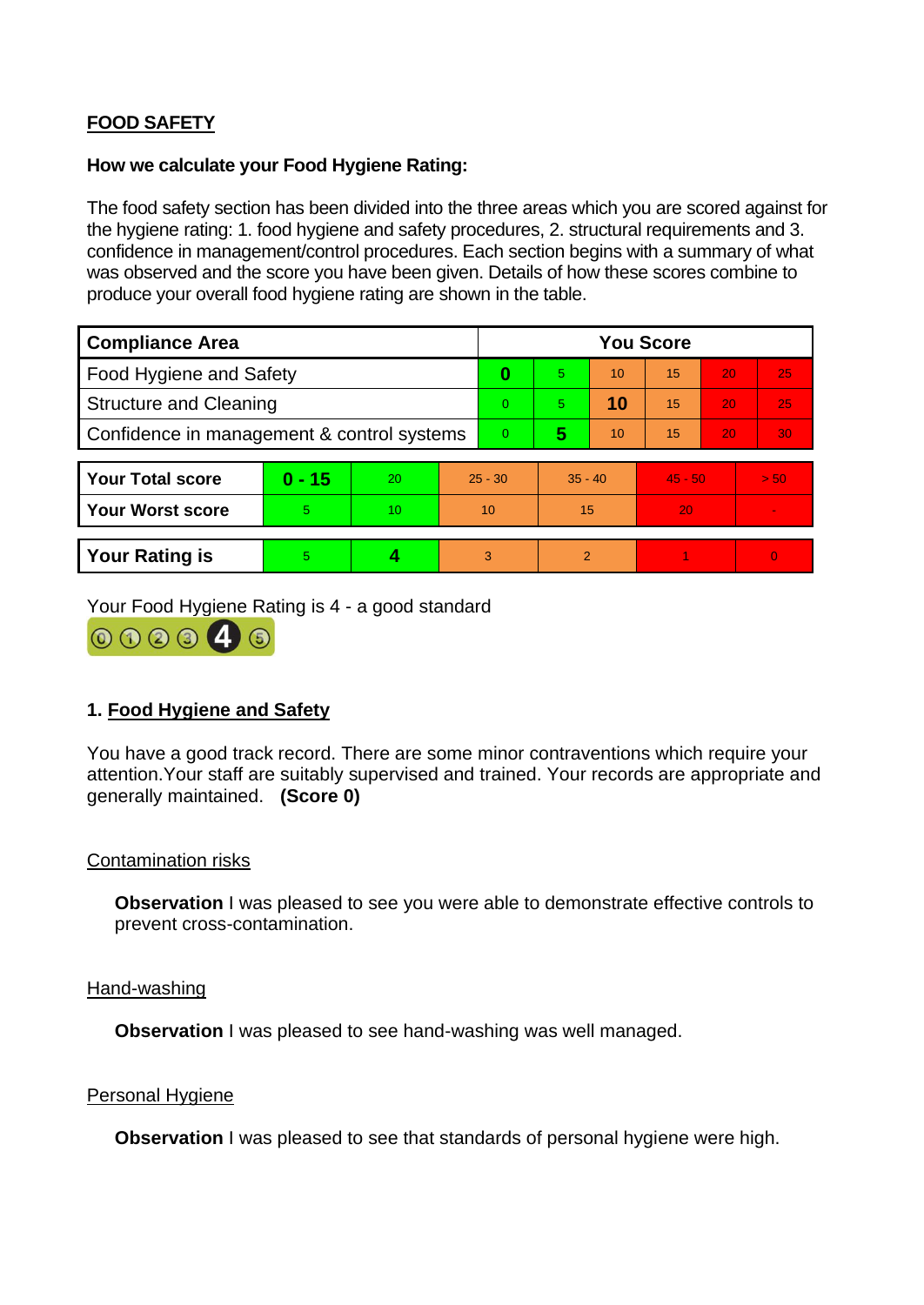# **FOOD SAFETY**

#### **How we calculate your Food Hygiene Rating:**

 The food safety section has been divided into the three areas which you are scored against for the hygiene rating: 1. food hygiene and safety procedures, 2. structural requirements and 3. confidence in management/control procedures. Each section begins with a summary of what was observed and the score you have been given. Details of how these scores combine to produce your overall food hygiene rating are shown in the table.

| <b>Compliance Area</b>                     |          |    |           | <b>You Score</b> |                |    |           |    |                |  |
|--------------------------------------------|----------|----|-----------|------------------|----------------|----|-----------|----|----------------|--|
| <b>Food Hygiene and Safety</b>             |          |    |           | 0                | 5.             | 10 | 15        | 20 | 25             |  |
| <b>Structure and Cleaning</b>              |          |    |           | $\Omega$         | 5.             | 10 | 15        | 20 | 25             |  |
| Confidence in management & control systems |          |    |           | $\Omega$         | 5              | 10 | 15        | 20 | 30             |  |
|                                            |          |    |           |                  |                |    |           |    |                |  |
| <b>Your Total score</b>                    | $0 - 15$ | 20 | $25 - 30$ |                  | $35 - 40$      |    | $45 - 50$ |    | > 50           |  |
| <b>Your Worst score</b>                    | 5.       | 10 | 10        |                  | 15             |    | 20        |    |                |  |
|                                            |          |    |           |                  |                |    |           |    |                |  |
| <b>Your Rating is</b>                      | 5        |    | 3         |                  | $\overline{2}$ |    |           |    | $\overline{0}$ |  |

Your Food Hygiene Rating is 4 - a good standard



## **1. Food Hygiene and Safety**

 You have a good track record. There are some minor contraventions which require your attention.Your staff are suitably supervised and trained. Your records are appropriate and generally maintained. **(Score 0)** 

### Contamination risks

**Observation** I was pleased to see you were able to demonstrate effective controls to prevent cross-contamination.

#### Hand-washing

**Observation** I was pleased to see hand-washing was well managed.

#### Personal Hygiene

**Observation** I was pleased to see that standards of personal hygiene were high.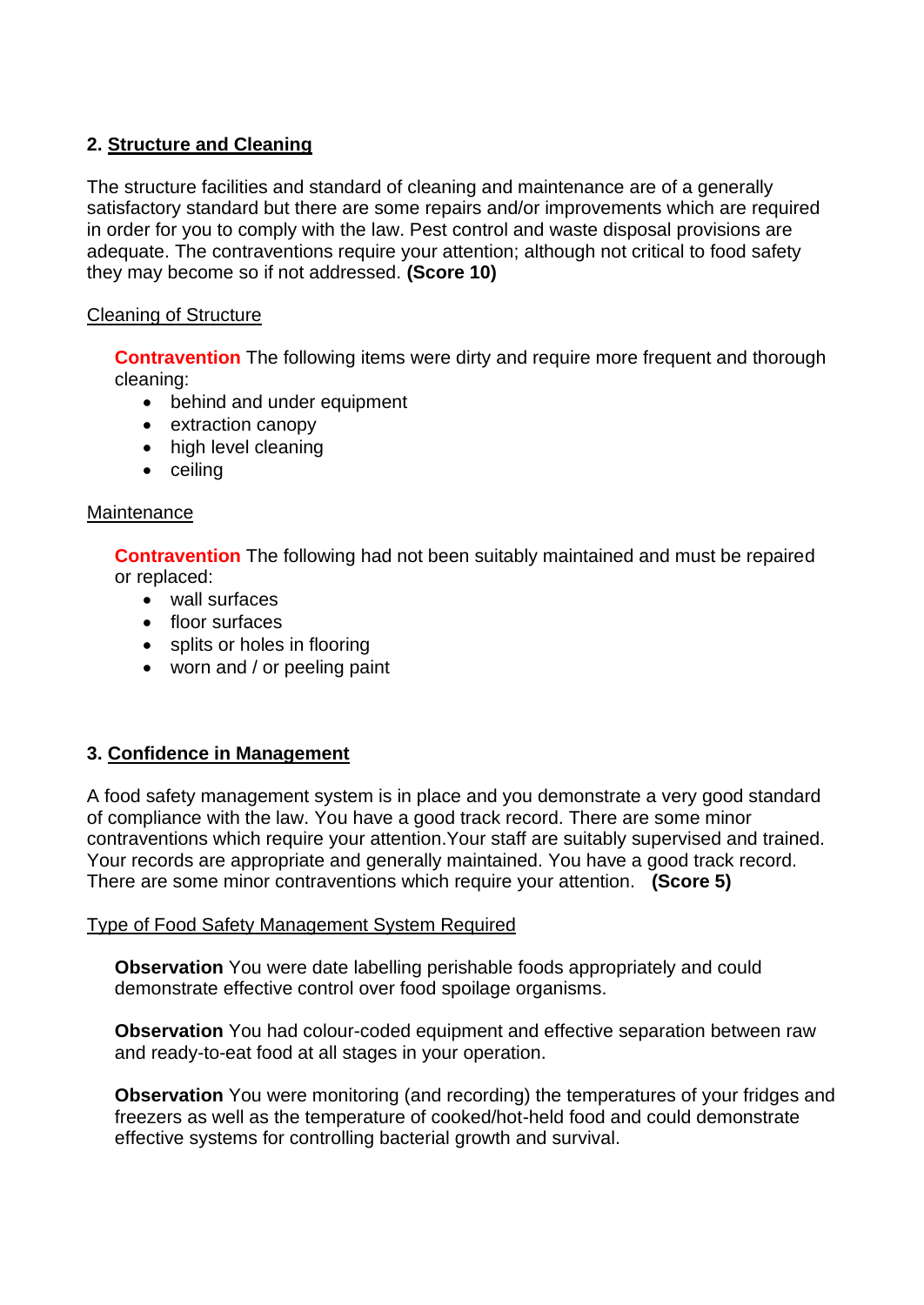# **2. Structure and Cleaning**

The structure facilities and standard of cleaning and maintenance are of a generally satisfactory standard but there are some repairs and/or improvements which are required in order for you to comply with the law. Pest control and waste disposal provisions are adequate. The contraventions require your attention; although not critical to food safety they may become so if not addressed. **(Score 10)** 

## Cleaning of Structure

**Contravention** The following items were dirty and require more frequent and thorough cleaning:

- behind and under equipment
- extraction canopy
- high level cleaning
- ceiling

### Maintenance

**Contravention** The following had not been suitably maintained and must be repaired or replaced:

- wall surfaces
- floor surfaces
- splits or holes in flooring
- worn and / or peeling paint

### **3. Confidence in Management**

 Your records are appropriate and generally maintained. You have a good track record. A food safety management system is in place and you demonstrate a very good standard of compliance with the law. You have a good track record. There are some minor contraventions which require your attention.Your staff are suitably supervised and trained. There are some minor contraventions which require your attention. **(Score 5)** 

### Type of Food Safety Management System Required

 demonstrate effective control over food spoilage organisms. **Observation** You were date labelling perishable foods appropriately and could

**Observation** You had colour-coded equipment and effective separation between raw and ready-to-eat food at all stages in your operation.

**Observation** You were monitoring (and recording) the temperatures of your fridges and freezers as well as the temperature of cooked/hot-held food and could demonstrate effective systems for controlling bacterial growth and survival.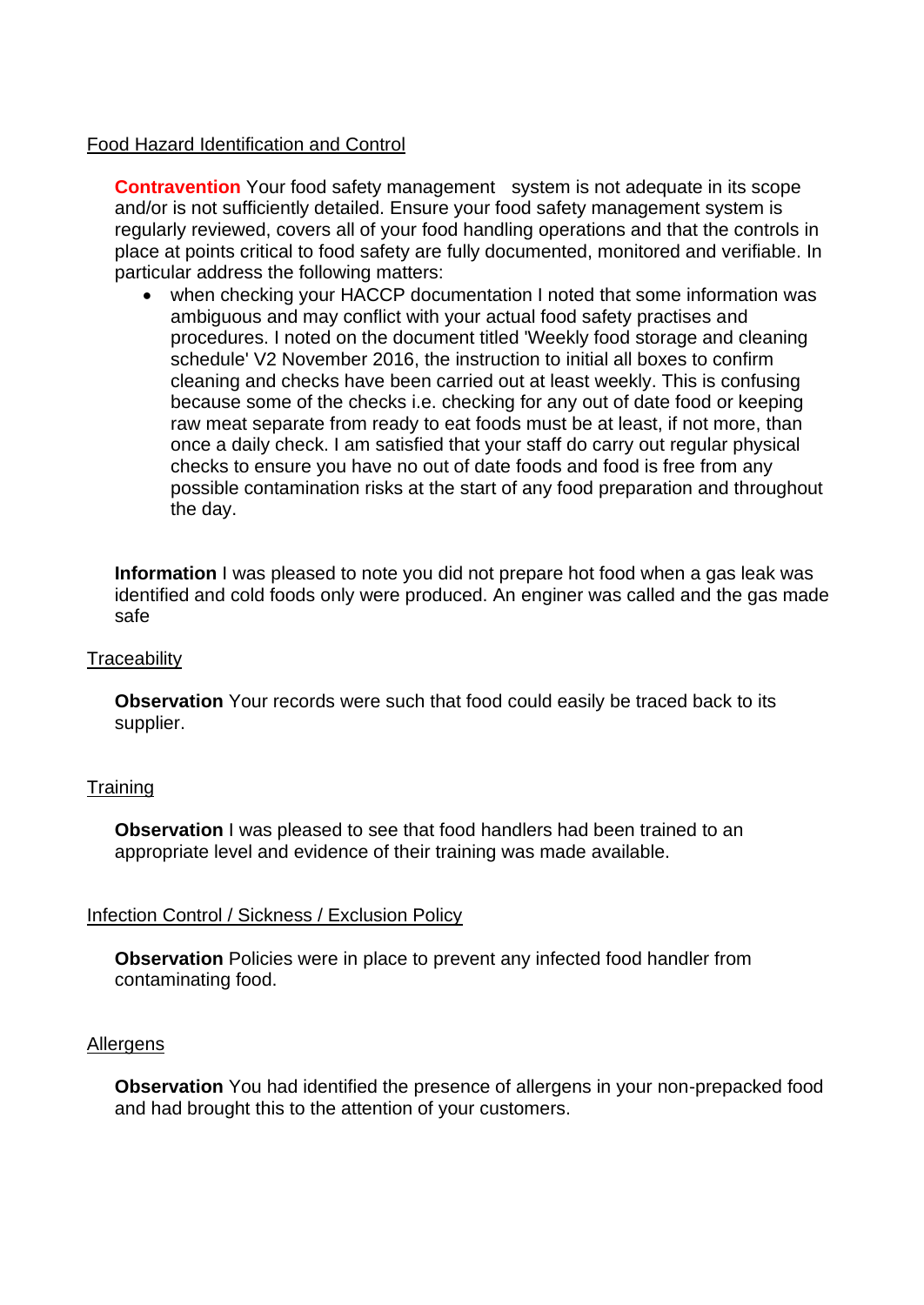### Food Hazard Identification and Control

**Contravention** Your food safety management system is not adequate in its scope and/or is not sufficiently detailed. Ensure your food safety management system is regularly reviewed, covers all of your food handling operations and that the controls in place at points critical to food safety are fully documented, monitored and verifiable. In particular address the following matters:

 procedures. I noted on the document titled 'Weekly food storage and cleaning checks to ensure you have no out of date foods and food is free from any the day. when checking your HACCP documentation I noted that some information was ambiguous and may conflict with your actual food safety practises and schedule' V2 November 2016, the instruction to initial all boxes to confirm cleaning and checks have been carried out at least weekly. This is confusing because some of the checks i.e. checking for any out of date food or keeping raw meat separate from ready to eat foods must be at least, if not more, than once a daily check. I am satisfied that your staff do carry out regular physical possible contamination risks at the start of any food preparation and throughout

 **Information** I was pleased to note you did not prepare hot food when a gas leak was identified and cold foods only were produced. An enginer was called and the gas made safe

#### **Traceability**

**Observation** Your records were such that food could easily be traced back to its supplier.

### **Training**

**Observation** I was pleased to see that food handlers had been trained to an appropriate level and evidence of their training was made available.

### Infection Control / Sickness / Exclusion Policy

**Observation** Policies were in place to prevent any infected food handler from contaminating food.

#### Allergens

**Observation** You had identified the presence of allergens in your non-prepacked food and had brought this to the attention of your customers.